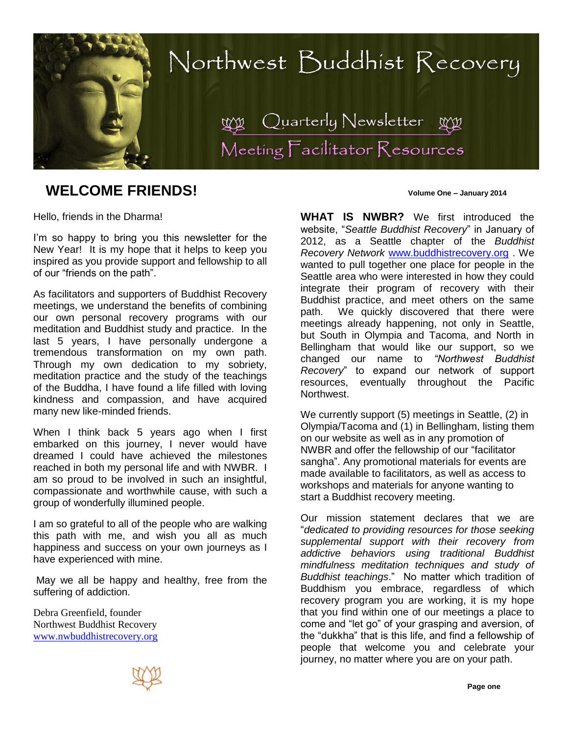

# **WELCOME FRIENDS! Volume One – January 2014**

Hello, friends in the Dharma!

I'm so happy to bring you this newsletter for the New Year! It is my hope that it helps to keep you inspired as you provide support and fellowship to all of our "friends on the path".

As facilitators and supporters of Buddhist Recovery meetings, we understand the benefits of combining our own personal recovery programs with our meditation and Buddhist study and practice. In the last 5 years, I have personally undergone a tremendous transformation on my own path. Through my own dedication to my sobriety, meditation practice and the study of the teachings of the Buddha, I have found a life filled with loving kindness and compassion, and have acquired many new like-minded friends.

When I think back 5 years ago when I first embarked on this journey, I never would have dreamed I could have achieved the milestones reached in both my personal life and with NWBR. I am so proud to be involved in such an insightful, compassionate and worthwhile cause, with such a group of wonderfully illumined people.

I am so grateful to all of the people who are walking this path with me, and wish you all as much happiness and success on your own journeys as I have experienced with mine.

May we all be happy and healthy, free from the suffering of addiction.

Debra Greenfield, founder Northwest Buddhist Recovery [www.nwbuddhistrecovery.org](http://www.nwbuddhistrecovery.org/)

**WHAT IS NWBR?** We first introduced the website, "*Seattle Buddhist Recovery*" in January of 2012, as a Seattle chapter of the *Buddhist Recovery Network* [www.buddhistrecovery.org](http://www.buddhistrecovery.org/) . We wanted to pull together one place for people in the Seattle area who were interested in how they could integrate their program of recovery with their Buddhist practice, and meet others on the same path. We quickly discovered that there were meetings already happening, not only in Seattle, but South in Olympia and Tacoma, and North in Bellingham that would like our support, so we changed our name to *"Northwest Buddhist Recovery*" to expand our network of support resources, eventually throughout the Pacific Northwest.

We currently support (5) meetings in Seattle, (2) in Olympia/Tacoma and (1) in Bellingham, listing them on our website as well as in any promotion of NWBR and offer the fellowship of our "facilitator sangha". Any promotional materials for events are made available to facilitators, as well as access to workshops and materials for anyone wanting to start a Buddhist recovery meeting.

Our mission statement declares that we are "*dedicated to providing resources for those seeking supplemental support with their recovery from addictive behaviors using traditional Buddhist mindfulness meditation techniques and study of Buddhist teachings*." No matter which tradition of Buddhism you embrace, regardless of which recovery program you are working, it is my hope that you find within one of our meetings a place to come and "let go" of your grasping and aversion, of the "dukkha" that is this life, and find a fellowship of people that welcome you and celebrate your journey, no matter where you are on your path.

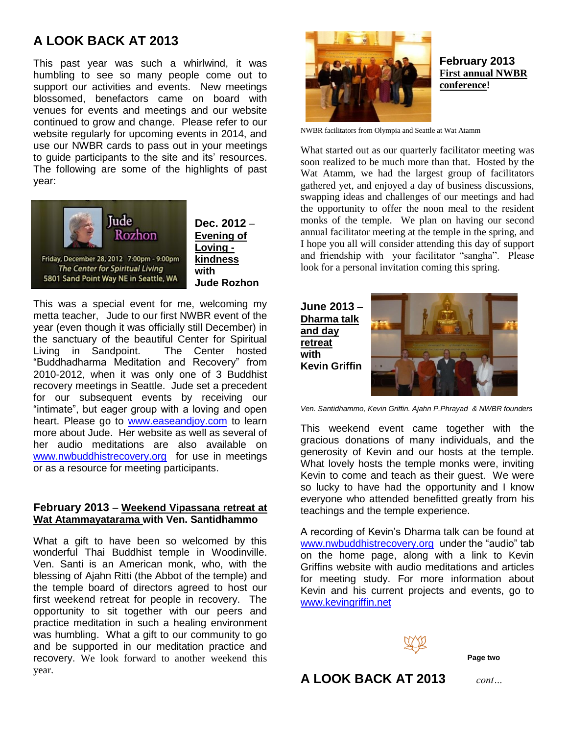# **A LOOK BACK AT 2013**

This past year was such a whirlwind, it was humbling to see so many people come out to support our activities and events. New meetings blossomed, benefactors came on board with venues for events and meetings and our website continued to grow and change. Please refer to our website regularly for upcoming events in 2014, and use our NWBR cards to pass out in your meetings to guide participants to the site and its' resources. The following are some of the highlights of past year:



**Dec. 2012** – **Evening of Loving kindness Jude Rozhon** 

This was a special event for me, welcoming my metta teacher, Jude to our first NWBR event of the year (even though it was officially still December) in the sanctuary of the beautiful Center for Spiritual Living in Sandpoint. The Center hosted "Buddhadharma Meditation and Recovery" from 2010-2012, when it was only one of 3 Buddhist recovery meetings in Seattle. Jude set a precedent for our subsequent events by receiving our "intimate", but eager group with a loving and open heart. Please go to [www.easeandjoy.com](http://www.easeandjoy.com/) to learn more about Jude. Her website as well as several of her audio meditations are also available on [www.nwbuddhistrecovery.org](http://www.nwbuddhistrecovery.org/) for use in meetings or as a resource for meeting participants.

### **February 2013** – **Weekend Vipassana retreat at Wat Atammayatarama with Ven. Santidhammo**

What a gift to have been so welcomed by this wonderful Thai Buddhist temple in Woodinville. Ven. Santi is an American monk, who, with the blessing of Ajahn Ritti (the Abbot of the temple) and the temple board of directors agreed to host our first weekend retreat for people in recovery. The opportunity to sit together with our peers and practice meditation in such a healing environment was humbling. What a gift to our community to go and be supported in our meditation practice and recovery. We look forward to another weekend this year.



### **February 2013 First annual NWBR conference!**

NWBR facilitators from Olympia and Seattle at Wat Atamm

What started out as our quarterly facilitator meeting was soon realized to be much more than that. Hosted by the Wat Atamm, we had the largest group of facilitators gathered yet, and enjoyed a day of business discussions, swapping ideas and challenges of our meetings and had the opportunity to offer the noon meal to the resident monks of the temple. We plan on having our second annual facilitator meeting at the temple in the spring, and I hope you all will consider attending this day of support and friendship with your facilitator "sangha". Please look for a personal invitation coming this spring.

**June 2013** – **Dharma talk and day retreat with Kevin Griffin**



*Ven. Santidhammo, Kevin Griffin. Ajahn P.Phrayad & NWBR founders*

This weekend event came together with the gracious donations of many individuals, and the generosity of Kevin and our hosts at the temple. What lovely hosts the temple monks were, inviting Kevin to come and teach as their guest. We were so lucky to have had the opportunity and I know everyone who attended benefitted greatly from his teachings and the temple experience.

A recording of Kevin's Dharma talk can be found at [www.nwbuddhistrecovery.org](http://www.nwbuddhistrecovery.org/) under the "audio" tab on the home page, along with a link to Kevin Griffins website with audio meditations and articles for meeting study. For more information about Kevin and his current projects and events, go to [www.kevingriffin.net](http://www.kevingriffin.net/)



**A LOOK BACK AT 2013** *cont…*

**Page two**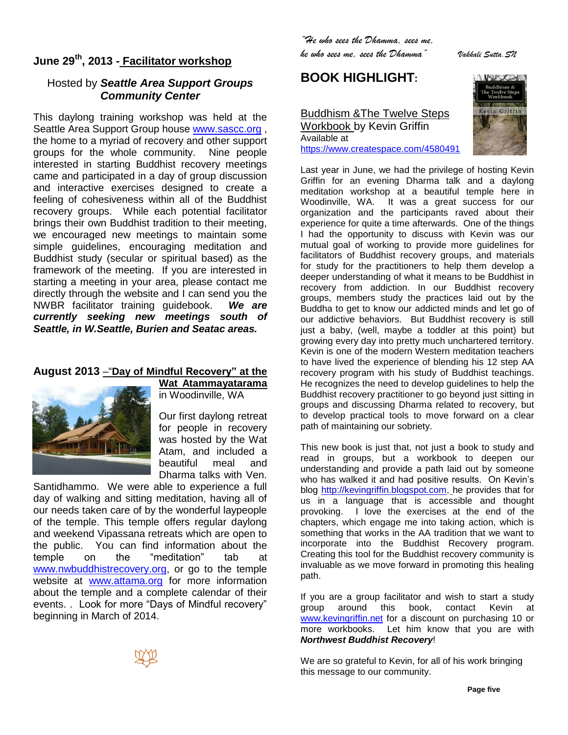# **June 29th, 2013 - Facilitator workshop**

## Hosted by *Seattle Area Support Groups Community Center*

This daylong training workshop was held at the Seattle Area Support Group house [www.sascc.org](http://www.sascc.org/) , the home to a myriad of recovery and other support groups for the whole community. Nine people interested in starting Buddhist recovery meetings came and participated in a day of group discussion and interactive exercises designed to create a feeling of cohesiveness within all of the Buddhist recovery groups. While each potential facilitator brings their own Buddhist tradition to their meeting, we encouraged new meetings to maintain some simple guidelines, encouraging meditation and Buddhist study (secular or spiritual based) as the framework of the meeting. If you are interested in starting a meeting in your area, please contact me directly through the website and I can send you the NWBR facilitator training guidebook. *We are currently seeking new meetings south of Seattle, in W.Seattle, Burien and Seatac areas.* 

## **August 2013** –"**Day of Mindful Recovery" at the**



**Wat Atammayatarama** in Woodinville, WA

Our first daylong retreat for people in recovery was hosted by the Wat Atam, and included a beautiful meal and

Dharma talks with Ven.

Santidhammo. We were able to experience a full day of walking and sitting meditation, having all of our needs taken care of by the wonderful laypeople of the temple. This temple offers regular daylong and weekend Vipassana retreats which are open to the public. You can find information about the temple on the "meditation" tab at [www.nwbuddhistrecovery.org,](http://www.nwbuddhistrecovery.org/) or go to the temple website at **[www.attama.org](http://www.attama.org/)** for more information about the temple and a complete calendar of their events. . Look for more "Days of Mindful recovery" beginning in March of 2014.



*"He who sees the Dhamma, sees me,* 

*he who sees me, sees the Dhamma" Vakkali Sutta.SN*

**BOOK HIGHLIGHT:** 

### [Buddhism &The Twelve Steps](https://www.createspace.com/4580491)  [Workbook](https://www.createspace.com/4580491) by Kevin Griffin Available at <https://www.createspace.com/4580491>



Last year in June, we had the privilege of hosting Kevin Griffin for an evening Dharma talk and a daylong meditation workshop at a beautiful temple here in Woodinville, WA. It was a great success for our organization and the participants raved about their experience for quite a time afterwards. One of the things I had the opportunity to discuss with Kevin was our mutual goal of working to provide more guidelines for facilitators of Buddhist recovery groups, and materials for study for the practitioners to help them develop a deeper understanding of what it means to be Buddhist in recovery from addiction. In our Buddhist recovery groups, members study the practices laid out by the Buddha to get to know our addicted minds and let go of our addictive behaviors. But Buddhist recovery is still just a baby, (well, maybe a toddler at this point) but growing every day into pretty much unchartered territory. Kevin is one of the modern Western meditation teachers to have lived the experience of blending his 12 step AA recovery program with his study of Buddhist teachings. He recognizes the need to develop guidelines to help the Buddhist recovery practitioner to go beyond just sitting in groups and discussing Dharma related to recovery, but to develop practical tools to move forward on a clear path of maintaining our sobriety.

This new book is just that, not just a book to study and read in groups, but a workbook to deepen our understanding and provide a path laid out by someone who has walked it and had positive results. On Kevin's blog [http://kevingriffin.blogspot.com,](http://kevingriffin.blogspot.com/) he provides that for us in a language that is accessible and thought provoking. I love the exercises at the end of the chapters, which engage me into taking action, which is something that works in the AA tradition that we want to incorporate into the Buddhist Recovery program. Creating this tool for the Buddhist recovery community is invaluable as we move forward in promoting this healing path.

If you are a group facilitator and wish to start a study group around this book, contact Kevin at [www.kevingriffin.net](http://www.kevingriffin.net/) for a discount on purchasing 10 or more workbooks. Let him know that you are with *Northwest Buddhist Recovery*!

We are so grateful to Kevin, for all of his work bringing this message to our community.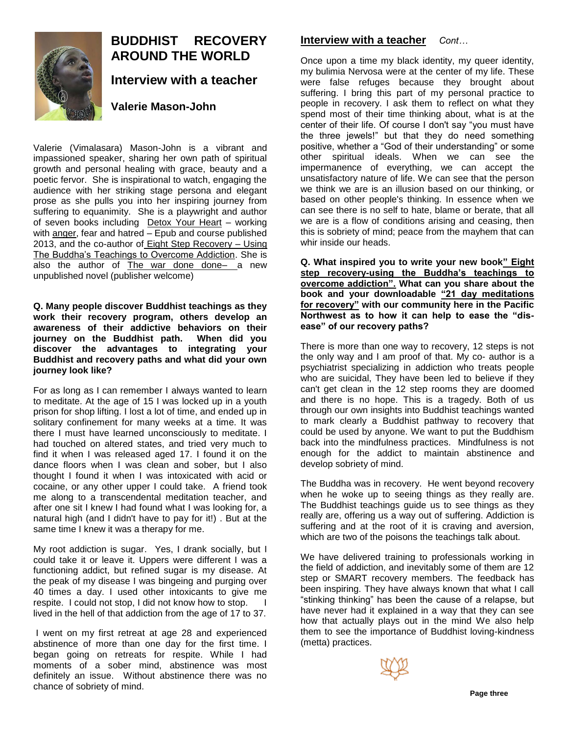

# **BUDDHIST RECOVERY AROUND THE WORLD Interview with a teacher**

## **Valerie Mason-John**

Valerie (Vimalasara) Mason-John is a vibrant and impassioned speaker, sharing her own path of spiritual growth and personal healing with grace, beauty and a poetic fervor. She is inspirational to watch, engaging the audience with her striking stage persona and elegant prose as she pulls you into her inspiring journey from suffering to equanimity. She is a playwright and author of seven books including [Detox Your Heart](http://www.youtube.com/watch?v=jbLmOE5Y8kI) – working with [anger,](http://www.youtube.com/watch?v=iAJ0vfR_2HI) fear and hatred – Epub and course published 2013, and the co-author of [Eight Step Recovery](http://www.facebook.com/eightsteprecovery) – Using The Buddha's Teachings to Overcome Addiction. She is also the author of  $The war$  done done- a new unpublished novel (publisher welcome)

#### **Q. Many people discover Buddhist teachings as they work their recovery program, others develop an awareness of their addictive behaviors on their journey on the Buddhist path. When did you discover the advantages to integrating your Buddhist and recovery paths and what did your own journey look like?**

For as long as I can remember I always wanted to learn to meditate. At the age of 15 I was locked up in a youth prison for shop lifting. I lost a lot of time, and ended up in solitary confinement for many weeks at a time. It was there I must have learned unconsciously to meditate. I had touched on altered states, and tried very much to find it when I was released aged 17. I found it on the dance floors when I was clean and sober, but I also thought I found it when I was intoxicated with acid or cocaine, or any other upper I could take. A friend took me along to a transcendental meditation teacher, and after one sit I knew I had found what I was looking for, a natural high (and I didn't have to pay for it!) . But at the same time I knew it was a therapy for me.

My root addiction is sugar. Yes, I drank socially, but I could take it or leave it. Uppers were different I was a functioning addict, but refined sugar is my disease. At the peak of my disease I was bingeing and purging over 40 times a day. I used other intoxicants to give me respite. I could not stop, I did not know how to stop. I lived in the hell of that addiction from the age of 17 to 37.

I went on my first retreat at age 28 and experienced abstinence of more than one day for the first time. I began going on retreats for respite. While I had moments of a sober mind, abstinence was most definitely an issue. Without abstinence there was no chance of sobriety of mind.

# **Interview with a teacher** *Cont…*

Once upon a time my black identity, my queer identity, my bulimia Nervosa were at the center of my life. These were false refuges because they brought about suffering. I bring this part of my personal practice to people in recovery. I ask them to reflect on what they spend most of their time thinking about, what is at the center of their life. Of course I don't say "you must have the three jewels!" but that they do need something positive, whether a "God of their understanding" or some other spiritual ideals. When we can see the impermanence of everything, we can accept the unsatisfactory nature of life. We can see that the person we think we are is an illusion based on our thinking, or based on other people's thinking. In essence when we can see there is no self to hate, blame or berate, that all we are is a flow of conditions arising and ceasing, then this is sobriety of mind; peace from the mayhem that can whir inside our heads.

**Q. What inspired you to write your new book" Eight step recovery-using the Buddha's teachings to overcome addiction". What can you share about the book and your downloadable "21 day meditations for recovery" with our community here in the Pacific Northwest as to how it can help to ease the "disease" of our recovery paths?**

There is more than one way to recovery, 12 steps is not the only way and I am proof of that. My co- author is a psychiatrist specializing in addiction who treats people who are suicidal, They have been led to believe if they can't get clean in the 12 step rooms they are doomed and there is no hope. This is a tragedy. Both of us through our own insights into Buddhist teachings wanted to mark clearly a Buddhist pathway to recovery that could be used by anyone. We want to put the Buddhism back into the mindfulness practices. Mindfulness is not enough for the addict to maintain abstinence and develop sobriety of mind.

The Buddha was in recovery. He went beyond recovery when he woke up to seeing things as they really are. The Buddhist teachings guide us to see things as they really are, offering us a way out of suffering. Addiction is suffering and at the root of it is craving and aversion, which are two of the poisons the teachings talk about.

We have delivered training to professionals working in the field of addiction, and inevitably some of them are 12 step or SMART recovery members. The feedback has been inspiring. They have always known that what I call "stinking thinking" has been the cause of a relapse, but have never had it explained in a way that they can see how that actually plays out in the mind We also help them to see the importance of Buddhist loving-kindness (metta) practices.

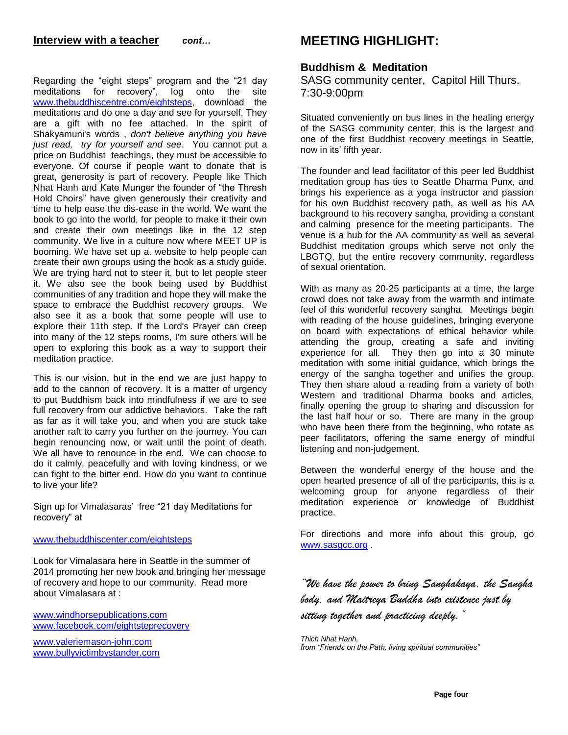### **Interview with a teacher** *cont…*

Regarding the "eight steps" program and the "21 day meditations for recovery", log onto the site [www.thebuddhiscentre.com/eightsteps,](http://www.thebuddhiscenter.com/eightsteps) download the meditations and do one a day and see for yourself. They are a gift with no fee attached. In the spirit of Shakyamuni's words , *don't believe anything you have just read, try for yourself and see*.You cannot put a price on Buddhist teachings, they must be accessible to everyone. Of course if people want to donate that is great, generosity is part of recovery. People like Thich Nhat Hanh and Kate Munger the founder of "the Thresh Hold Choirs" have given generously their creativity and time to help ease the dis-ease in the world. We want the book to go into the world, for people to make it their own and create their own meetings like in the 12 step community. We live in a culture now where MEET UP is booming. We have set up a. website to help people can create their own groups using the book as a study guide. We are trying hard not to steer it, but to let people steer it. We also see the book being used by Buddhist communities of any tradition and hope they will make the space to embrace the Buddhist recovery groups. We also see it as a book that some people will use to explore their 11th step. If the Lord's Prayer can creep into many of the 12 steps rooms, I'm sure others will be open to exploring this book as a way to support their

This is our vision, but in the end we are just happy to add to the cannon of recovery. It is a matter of urgency to put Buddhism back into mindfulness if we are to see full recovery from our addictive behaviors. Take the raft as far as it will take you, and when you are stuck take another raft to carry you further on the journey. You can begin renouncing now, or wait until the point of death. We all have to renounce in the end. We can choose to do it calmly, peacefully and with loving kindness, or we can fight to the bitter end. How do you want to continue to live your life?

Sign up for Vimalasaras' free "21 day Meditations for recovery" at

#### [www.thebuddhiscenter.com/eightsteps](http://www.thebuddhiscenter.com/eightsteps)

meditation practice.

Look for Vimalasara here in Seattle in the summer of 2014 promoting her new book and bringing her message of recovery and hope to our community. Read more about Vimalasara at :

[www.windhorsepublications.com](http://www.windhorsepublications.com/) [www.facebook.com/eightsteprecovery](http://www.facebook.com/eightsteprecovery)

[www.valeriemason-john.com](http://www.valeriemason-john.com/) [www.bullyvictimbystander.com](http://www.bullyvictimbystander.com/)

# **MEETING HIGHLIGHT:**

### **Buddhism & Meditation**

SASG community center, Capitol Hill Thurs. 7:30-9:00pm

Situated conveniently on bus lines in the healing energy of the SASG community center, this is the largest and one of the first Buddhist recovery meetings in Seattle, now in its' fifth year.

The founder and lead facilitator of this peer led Buddhist meditation group has ties to Seattle Dharma Punx, and brings his experience as a yoga instructor and passion for his own Buddhist recovery path, as well as his AA background to his recovery sangha, providing a constant and calming presence for the meeting participants. The venue is a hub for the AA community as well as several Buddhist meditation groups which serve not only the LBGTQ, but the entire recovery community, regardless of sexual orientation.

With as many as 20-25 participants at a time, the large crowd does not take away from the warmth and intimate feel of this wonderful recovery sangha. Meetings begin with reading of the house guidelines, bringing everyone on board with expectations of ethical behavior while attending the group, creating a safe and inviting experience for all. They then go into a 30 minute meditation with some initial guidance, which brings the energy of the sangha together and unifies the group. They then share aloud a reading from a variety of both Western and traditional Dharma books and articles, finally opening the group to sharing and discussion for the last half hour or so. There are many in the group who have been there from the beginning, who rotate as peer facilitators, offering the same energy of mindful listening and non-judgement.

Between the wonderful energy of the house and the open hearted presence of all of the participants, this is a welcoming group for anyone regardless of their meditation experience or knowledge of Buddhist practice.

For directions and more info about this group, go [www.sasgcc.org](http://www.sasgcc.org/) .

*"We have the power to bring Sanghakaya, the Sangha body, and Maitreya Buddha into existence just by sitting together and practicing deeply."* 

*Thich Nhat Hanh, from "Friends on the Path, living spiritual communities"*